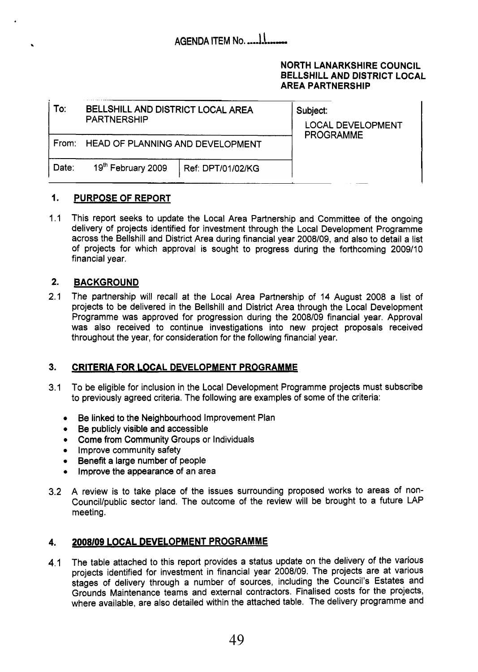### **NORTH LANARKSHIRE COUNCIL BELLSHILL AND DISTRICT LOCAL AREA PARTNERSHIP**

| To:   | BELLSHILL AND DISTRICT LOCAL AREA<br><b>PARTNERSHIP</b> | Subject:<br><b>LOCAL DEVELOPMENT</b><br><b>PROGRAMME</b> |
|-------|---------------------------------------------------------|----------------------------------------------------------|
| From: | HEAD OF PLANNING AND DEVELOPMENT                        |                                                          |
| Date: | 19 <sup>th</sup> February 2009<br>  Ref: DPT/01/02/KG   |                                                          |

### **1. PURPOSE OF REPORT**

1.1 This report seeks to update the Local Area Partnership and Committee of the ongoing delivery of projects identified for investment through the Local Development Programme across the Bellshill and District Area during financial year 2008/09, and also to detail a list of projects for which approval is sought to progress during the forthcoming 2009/10 financial year.

### **2. BACKGROUND**

2.1 The partnership will recall at the Local Area Partnership of 14 August 2008 a list of projects to be delivered in the Bellshill and District Area through the Local Development Programme was approved for progression during the 2008/09 financial year. Approval was also received to continue investigations into new project proposals received throughout the year, for consideration for the following financial year.

### **3. CRITERIA FOR LOCAL DEVELOPMENT PROGRAMME**

- 3.1 To be eligible for inclusion in the Local Development Programme projects must subscribe to previously agreed criteria. The following are examples of some of the criteria:
	- *0*  Be linked to the Neighbourhood Improvement Plan
	- *0*  Be publicly visible and accessible
	- *0*  Come from Community Groups or Individuals
	- **•** Improve community safety
	- *0*  Benefit a large number of people
	- *0*  Improve the appearance of an area
- 3.2 A review is to take place of the issues surrounding proposed works to areas of non-Council/public sector land. The outcome of the review will be brought to a future LAP meeting.

### **4.** *2008109* **LOCAL DEVELOPMENT PROGRAMME**

4.1 The table attached to this report provides a status update on the delivery of the various projects identified for investment in financial year 2008/09. The projects are at various stages of delivery through a number of sources, including the Council's Estates and Grounds Maintenance teams and external contractors. Finalised costs for the projects, where available, are also detailed within the attached table. The delivery programme and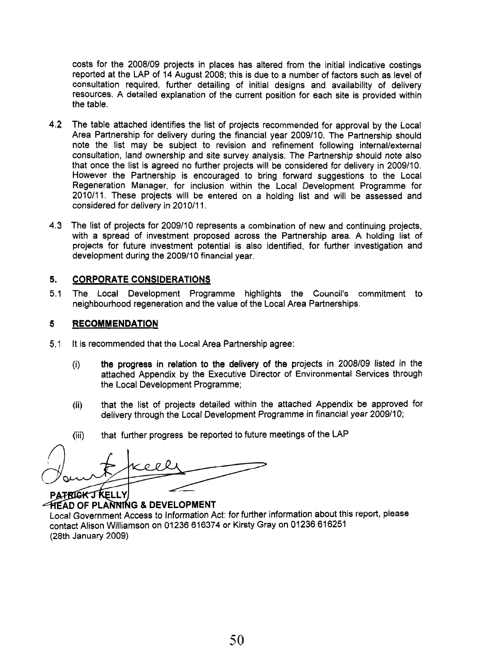costs for the 2008/09 projects in places has altered from the initial indicative costings reported at the LAP of 14 August 2008; this is due to a number of factors such as level of consultation required, further detailing of initial designs and availability of delivery resources. A detailed explanation of the current position for each site is provided within the table.

- 4.2 The table attached identifies the list of projects recommended for approval by the Local Area Partnership for delivery during the financial year 2009/10. The Partnership should note the list may be subject to revision and refinement following internal/external consultation, land ownership and site survey analysis. The Partnership should note also that once the list is agreed no further projects will be considered for delivery in 2009110. However the Partnership is encouraged to bring forward suggestions to the Local Regeneration Manager, for inclusion within the Local Development Programme for 2010/11. These projects will be entered on a holding list and will be assessed and considered for delivery in 2010/11.
- 4.3 The list of projects for 2009/10 represents a combination of new and continuing projects, with a spread of investment proposed across the Partnership area. A holding list of projects for future investment potential is also identified, for further investigation and development during the 2009/10 financial year.

#### **5. CORPORATE CONSIDERATIONS**

5.1 The Local Development Programme highlights the Council's commitment to neighbourhood regeneration and the value of the Local Area Partnerships.

#### **5 RECOMMENDATION**

- 5.1 It is recommended that the Local Area Partnership agree:
	- (i) the progress in relation to the delivery of the projects in 2008/09 listed in the attached Appendix by the Executive Director of Environmental Services through the Local Development Programme;
	- that the list of projects detailed within the attached Appendix be approved for delivery through the Local Development Programme in financial year 2009/10; (ii)
	- that further progress be reported to future meetings of the LAP (iii)

o o l PATRICK J KELLY

**FIEAD OF PLANNING & DEVELOPMENT** Local Government Access to Information Act: for further information about this report, please contact Alison Williamson on 01236 616374 or Kirsty Gray on 01236 616251 (28th January 2009)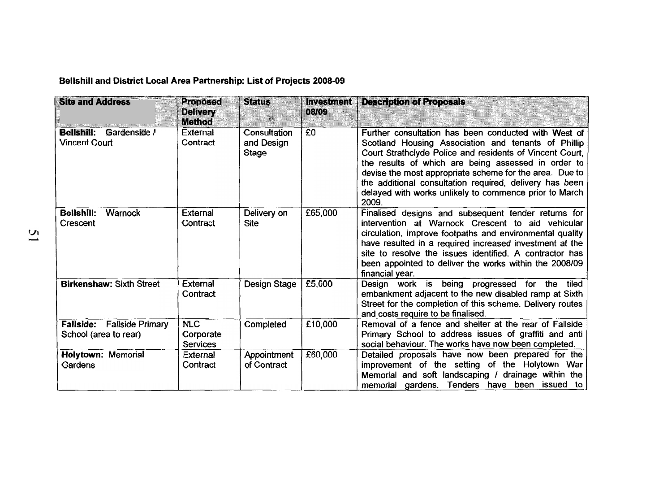**Bellshill and District Local Area Partnership: List of Projects 2008-09** 

| <b>Site and Address</b>                                    | <b>Proposed</b><br><b>Delivery</b><br><b>Method</b> | <b>Status</b>                              | <b>Investment</b><br>08/09 | <b>Description of Proposals</b>                                                                                                                                                                                                                                                                                                                                                                                         |
|------------------------------------------------------------|-----------------------------------------------------|--------------------------------------------|----------------------------|-------------------------------------------------------------------------------------------------------------------------------------------------------------------------------------------------------------------------------------------------------------------------------------------------------------------------------------------------------------------------------------------------------------------------|
| <b>Bellshill:</b><br>Gardenside /<br><b>Vincent Court</b>  | External<br>Contract                                | Consultation<br>and Design<br><b>Stage</b> | £0                         | Further consultation has been conducted with West of<br>Scotland Housing Association and tenants of Phillip<br>Court Strathclyde Police and residents of Vincent Court,<br>the results of which are being assessed in order to<br>devise the most appropriate scheme for the area. Due to<br>the additional consultation required, delivery has been<br>delayed with works unlikely to commence prior to March<br>2009. |
| <b>Bellshill:</b><br>Warnock<br>Crescent                   | <b>External</b><br>Contract                         | Delivery on<br><b>Site</b>                 | £65,000                    | Finalised designs and subsequent tender returns for<br>intervention at Warnock Crescent to aid vehicular<br>circulation, improve footpaths and environmental quality<br>have resulted in a required increased investment at the<br>site to resolve the issues identified. A contractor has<br>been appointed to deliver the works within the 2008/09<br>financial year.                                                 |
| <b>Birkenshaw: Sixth Street</b>                            | <b>External</b><br>Contract                         | Design Stage                               | £5,000                     | Design work is being progressed for the<br>tiled<br>embankment adjacent to the new disabled ramp at Sixth<br>Street for the completion of this scheme. Delivery routes<br>and costs require to be finalised.                                                                                                                                                                                                            |
| <b>Fallside:</b> Fallside Primary<br>School (area to rear) | <b>NLC</b><br>Corporate<br><b>Services</b>          | Completed                                  | £10,000                    | Removal of a fence and shelter at the rear of Fallside<br>Primary School to address issues of graffiti and anti<br>social behaviour. The works have now been completed.                                                                                                                                                                                                                                                 |
| <b>Holytown: Memorial</b><br>Gardens                       | <b>External</b><br>Contract                         | Appointment<br>of Contract                 | £60,000                    | Detailed proposals have now been prepared for the<br>improvement of the setting of the Holytown War<br>Memorial and soft landscaping / drainage within the<br>memorial gardens. Tenders have been issued to                                                                                                                                                                                                             |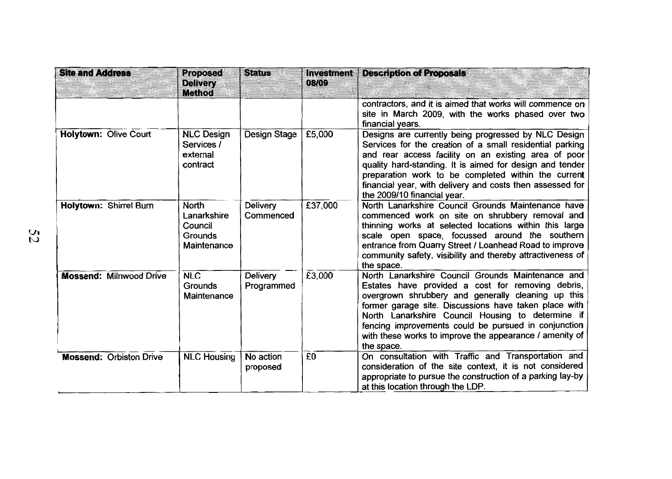| <b>Site and Address</b>        | <b>Proposed</b><br><b>Delivery</b><br><b>Method</b>              | <b>Status</b>                 | <b>Investment</b><br>08/09 | <b>Description of Proposals</b>                                                                                                                                                                                                                                                                                                                                                                             |
|--------------------------------|------------------------------------------------------------------|-------------------------------|----------------------------|-------------------------------------------------------------------------------------------------------------------------------------------------------------------------------------------------------------------------------------------------------------------------------------------------------------------------------------------------------------------------------------------------------------|
|                                |                                                                  |                               |                            | contractors, and it is aimed that works will commence on<br>site in March 2009, with the works phased over two<br>financial years.                                                                                                                                                                                                                                                                          |
| Holytown: Olive Court          | <b>NLC Design</b><br>Services /<br>external<br>contract          | <b>Design Stage</b>           | £5,000                     | Designs are currently being progressed by NLC Design<br>Services for the creation of a small residential parking<br>and rear access facility on an existing area of poor<br>quality hard-standing. It is aimed for design and tender<br>preparation work to be completed within the current<br>financial year, with delivery and costs then assessed for<br>the 2009/10 financial year.                     |
| <b>Holytown: Shirrel Burn</b>  | <b>North</b><br>Lanarkshire<br>Council<br>Grounds<br>Maintenance | <b>Delivery</b><br>Commenced  | £37,000                    | North Lanarkshire Council Grounds Maintenance have<br>commenced work on site on shrubbery removal and<br>thinning works at selected locations within this large<br>scale open space, focussed around the southern<br>entrance from Quarry Street / Loanhead Road to improve<br>community safety, visibility and thereby attractiveness of<br>the space.                                                     |
| <b>Mossend: Milnwood Drive</b> | <b>NLC</b><br><b>Grounds</b><br>Maintenance                      | <b>Delivery</b><br>Programmed | £3,000                     | North Lanarkshire Council Grounds Maintenance and<br>Estates have provided a cost for removing debris,<br>overgrown shrubbery and generally cleaning up this<br>former garage site. Discussions have taken place with<br>North Lanarkshire Council Housing to determine if<br>fencing improvements could be pursued in conjunction<br>with these works to improve the appearance / amenity of<br>the space. |
| <b>Mossend: Orbiston Drive</b> | <b>NLC Housing</b>                                               | No action<br>proposed         | £0                         | On consultation with Traffic and Transportation and<br>consideration of the site context, it is not considered<br>appropriate to pursue the construction of a parking lay-by<br>at this location through the LDP.                                                                                                                                                                                           |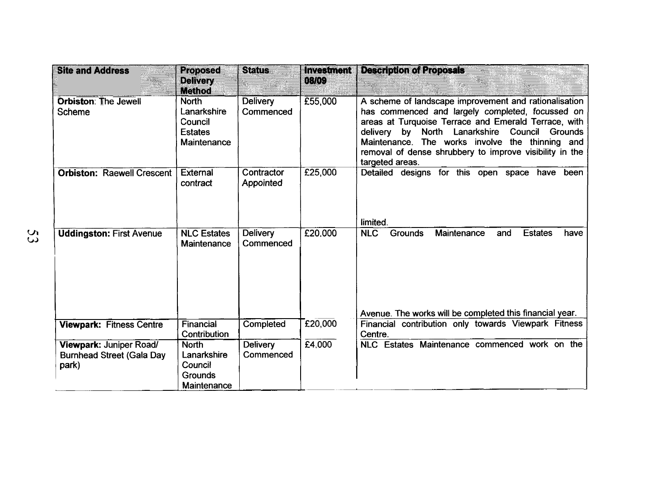| <b>Site and Address</b>                                              | <b>Proposed</b><br><b>Delivery</b>                                      | <b>Status</b>                | <b>Investment</b><br>08/09 | <b>Description of Proposals</b><br>a a shekara                                                                                                                                                                                                                                                                                                            |
|----------------------------------------------------------------------|-------------------------------------------------------------------------|------------------------------|----------------------------|-----------------------------------------------------------------------------------------------------------------------------------------------------------------------------------------------------------------------------------------------------------------------------------------------------------------------------------------------------------|
|                                                                      | <b>Method</b>                                                           |                              |                            |                                                                                                                                                                                                                                                                                                                                                           |
| <b>Orbiston: The Jewell</b><br><b>Scheme</b>                         | <b>North</b><br>Lanarkshire<br>Council<br><b>Estates</b><br>Maintenance | <b>Delivery</b><br>Commenced | £55,000                    | A scheme of landscape improvement and rationalisation<br>has commenced and largely completed, focussed on<br>areas at Turquoise Terrace and Emerald Terrace, with<br>North Lanarkshire<br>Council Grounds<br>delivery by<br>Maintenance. The works involve the thinning and<br>removal of dense shrubbery to improve visibility in the<br>targeted areas. |
| <b>Orbiston: Raewell Crescent</b>                                    | External<br>contract                                                    | Contractor<br>Appointed      | £25,000                    | Detailed designs for this open space have been<br>limited.                                                                                                                                                                                                                                                                                                |
| <b>Uddingston: First Avenue</b>                                      | <b>NLC Estates</b><br>Maintenance                                       | Delivery<br>Commenced        | £20,000                    | <b>NLC</b><br>Maintenance<br><b>Estates</b><br><b>Grounds</b><br>and<br>have<br>Avenue. The works will be completed this financial year.                                                                                                                                                                                                                  |
| <b>Viewpark: Fitness Centre</b>                                      | Financial<br>Contribution                                               | Completed                    | £20,000                    | Financial contribution only towards Viewpark Fitness<br>Centre.                                                                                                                                                                                                                                                                                           |
| Viewpark: Juniper Road/<br><b>Burnhead Street (Gala Day</b><br>park) | <b>North</b><br>Lanarkshire<br>Council<br>Grounds<br>Maintenance        | <b>Delivery</b><br>Commenced | E4,000                     | NLC Estates Maintenance commenced work on the                                                                                                                                                                                                                                                                                                             |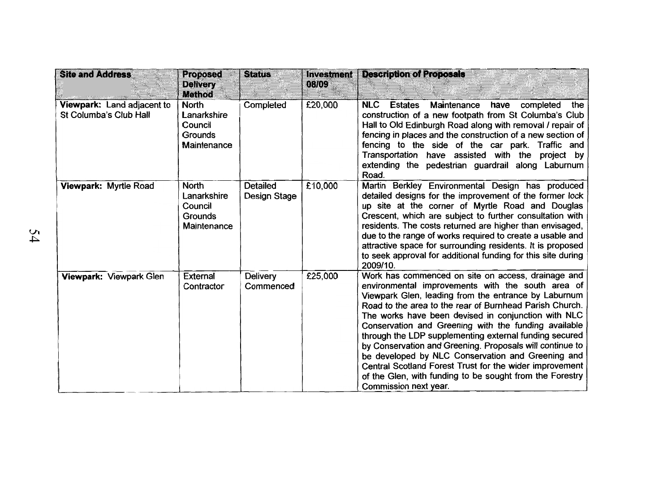| <b>Site and Address</b>                              | <b>Proposed</b><br><b>Delivery</b>                                                       | <b>Status</b>                   | <b>Investment</b><br>08/09 | <b>Description of Proposals</b>                                                                                                                                                                                                                                                                                                                                                                                                                                                                                                                                                                                                                                      |
|------------------------------------------------------|------------------------------------------------------------------------------------------|---------------------------------|----------------------------|----------------------------------------------------------------------------------------------------------------------------------------------------------------------------------------------------------------------------------------------------------------------------------------------------------------------------------------------------------------------------------------------------------------------------------------------------------------------------------------------------------------------------------------------------------------------------------------------------------------------------------------------------------------------|
| Viewpark: Land adjacent to<br>St Columba's Club Hall | <b>Method</b><br><b>North</b><br>Lanarkshire<br>Council<br><b>Grounds</b><br>Maintenance | Completed                       | £20,000                    | <b>NLC</b><br><b>Estates</b><br>Maintenance<br>have<br>completed<br>the<br>construction of a new footpath from St Columba's Club<br>Hall to Old Edinburgh Road along with removal / repair of<br>fencing in places and the construction of a new section of<br>fencing to the side of the car park. Traffic and<br>Transportation have assisted with the project by<br>extending the pedestrian guardrail along Laburnum<br>Road.                                                                                                                                                                                                                                    |
| Viewpark: Myrtle Road                                | <b>North</b><br>Lanarkshire<br>Council<br><b>Grounds</b><br>Maintenance                  | <b>Detailed</b><br>Design Stage | £10,000                    | Martin Berkley Environmental Design has produced<br>detailed designs for the improvement of the former lock<br>up site at the corner of Myrtle Road and Douglas<br>Crescent, which are subject to further consultation with<br>residents. The costs returned are higher than envisaged,<br>due to the range of works required to create a usable and<br>attractive space for surrounding residents. It is proposed<br>to seek approval for additional funding for this site during<br>2009/10.                                                                                                                                                                       |
| Viewpark: Viewpark Glen                              | <b>External</b><br>Contractor                                                            | <b>Delivery</b><br>Commenced    | £25,000                    | Work has commenced on site on access, drainage and<br>environmental improvements with the south area of<br>Viewpark Glen, leading from the entrance by Laburnum<br>Road to the area to the rear of Burnhead Parish Church.<br>The works have been devised in conjunction with NLC<br>Conservation and Greening with the funding available<br>through the LDP supplementing external funding secured<br>by Conservation and Greening. Proposals will continue to<br>be developed by NLC Conservation and Greening and<br>Central Scotland Forest Trust for the wider improvement<br>of the Glen, with funding to be sought from the Forestry<br>Commission next year. |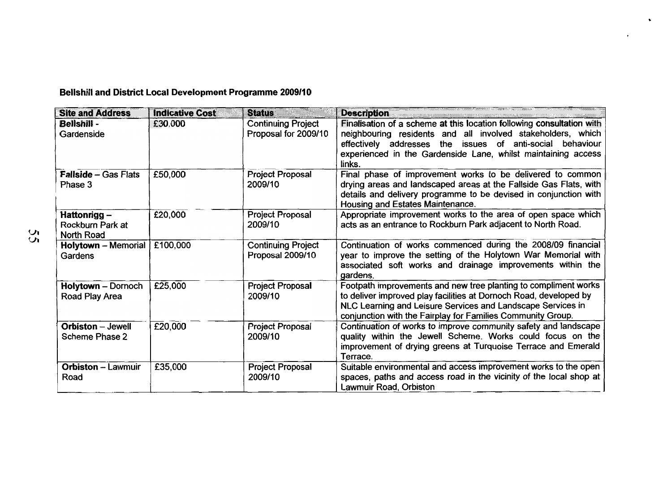| <b>Site and Address</b>                              | <b>Indicative Cost</b> | <b>Status</b>                                     | <b>Description</b>                                                                                                                                                                                                                                                              |
|------------------------------------------------------|------------------------|---------------------------------------------------|---------------------------------------------------------------------------------------------------------------------------------------------------------------------------------------------------------------------------------------------------------------------------------|
| Bellshill -<br>Gardenside                            | £30,000                | <b>Continuing Project</b><br>Proposal for 2009/10 | Finalisation of a scheme at this location following consultation with<br>neighbouring residents and all involved stakeholders, which<br>effectively addresses the issues of<br>anti-social behaviour<br>experienced in the Gardenside Lane, whilst maintaining access<br>links. |
| <b>Fallside - Gas Flats</b><br>Phase 3               | £50,000                | Project Proposal<br>2009/10                       | Final phase of improvement works to be delivered to common<br>drying areas and landscaped areas at the Fallside Gas Flats, with<br>details and delivery programme to be devised in conjunction with<br>Housing and Estates Maintenance.                                         |
| Hattonrigg-<br>Rockburn Park at<br><b>North Road</b> | £20,000                | <b>Project Proposal</b><br>2009/10                | Appropriate improvement works to the area of open space which<br>acts as an entrance to Rockburn Park adjacent to North Road.                                                                                                                                                   |
| <b>Holytown</b> - Memorial<br>Gardens                | £100,000               | <b>Continuing Project</b><br>Proposal 2009/10     | Continuation of works commenced during the 2008/09 financial<br>year to improve the setting of the Holytown War Memorial with<br>associated soft works and drainage improvements within the<br>gardens.                                                                         |
| <b>Holytown - Dornoch</b><br>Road Play Area          | £25,000                | <b>Project Proposal</b><br>2009/10                | Footpath improvements and new tree planting to compliment works<br>to deliver improved play facilities at Dornoch Road, developed by<br>NLC Learning and Leisure Services and Landscape Services in<br>conjunction with the Fairplay for Families Community Group.              |
| <b>Orbiston</b> - Jewell<br><b>Scheme Phase 2</b>    | £20,000                | Project Proposal<br>2009/10                       | Continuation of works to improve community safety and landscape<br>quality within the Jewell Scheme. Works could focus on the<br>improvement of drying greens at Turquoise Terrace and Emerald<br>Terrace.                                                                      |
| <b>Orbiston - Lawmuir</b><br>Road                    | £35,000                | <b>Project Proposal</b><br>2009/10                | Suitable environmental and access improvement works to the open<br>spaces, paths and access road in the vicinity of the local shop at<br>Lawmuir Road, Orbiston                                                                                                                 |

.

 $\bullet$ 

# **Bellshill and District Local Development Programme 2009/10**